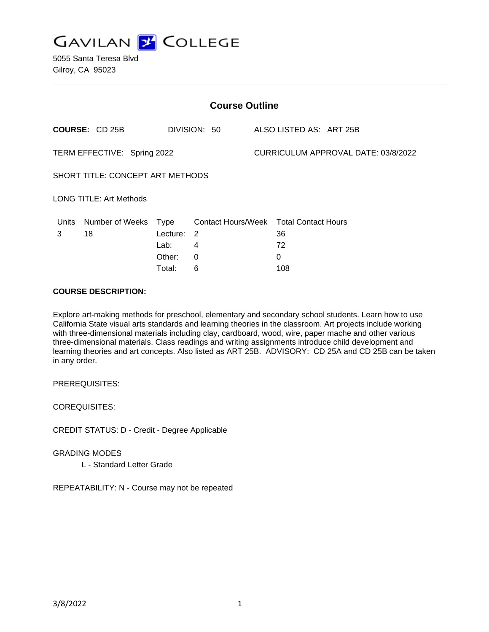

| <b>Course Outline</b>       |                                  |          |                                        |  |                                     |  |  |  |
|-----------------------------|----------------------------------|----------|----------------------------------------|--|-------------------------------------|--|--|--|
|                             | <b>COURSE: CD 25B</b>            |          | DIVISION: 50                           |  | ALSO LISTED AS: ART 25B             |  |  |  |
| TERM EFFECTIVE: Spring 2022 |                                  |          |                                        |  | CURRICULUM APPROVAL DATE: 03/8/2022 |  |  |  |
|                             | SHORT TITLE: CONCEPT ART METHODS |          |                                        |  |                                     |  |  |  |
|                             | <b>LONG TITLE: Art Methods</b>   |          |                                        |  |                                     |  |  |  |
| Units                       | Number of Weeks                  | Type     | Contact Hours/Week Total Contact Hours |  |                                     |  |  |  |
| 3                           | 18                               | Lecture: | 2                                      |  | 36                                  |  |  |  |
|                             |                                  | Lab:     | 4                                      |  | 72                                  |  |  |  |
|                             |                                  | Other:   | 0                                      |  | 0                                   |  |  |  |
|                             |                                  | Total:   | 6                                      |  | 108                                 |  |  |  |

# **COURSE DESCRIPTION:**

Explore art-making methods for preschool, elementary and secondary school students. Learn how to use California State visual arts standards and learning theories in the classroom. Art projects include working with three-dimensional materials including clay, cardboard, wood, wire, paper mache and other various three-dimensional materials. Class readings and writing assignments introduce child development and learning theories and art concepts. Also listed as ART 25B. ADVISORY: CD 25A and CD 25B can be taken in any order.

PREREQUISITES:

COREQUISITES:

CREDIT STATUS: D - Credit - Degree Applicable

GRADING MODES

L - Standard Letter Grade

REPEATABILITY: N - Course may not be repeated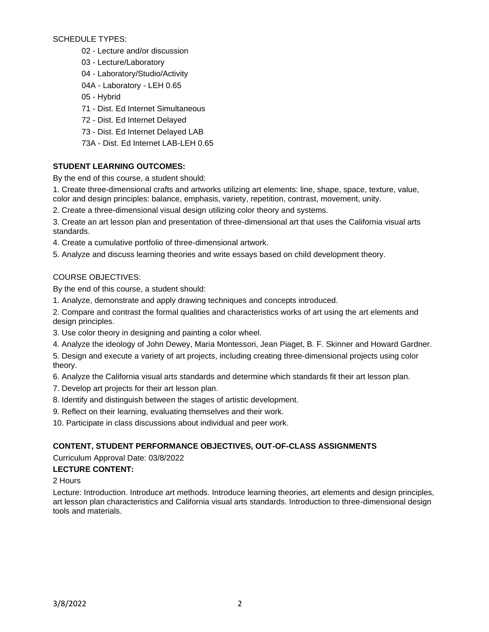SCHEDULE TYPES:

- 02 Lecture and/or discussion
- 03 Lecture/Laboratory
- 04 Laboratory/Studio/Activity
- 04A Laboratory LEH 0.65
- 05 Hybrid
- 71 Dist. Ed Internet Simultaneous
- 72 Dist. Ed Internet Delayed
- 73 Dist. Ed Internet Delayed LAB
- 73A Dist. Ed Internet LAB-LEH 0.65

# **STUDENT LEARNING OUTCOMES:**

By the end of this course, a student should:

1. Create three-dimensional crafts and artworks utilizing art elements: line, shape, space, texture, value, color and design principles: balance, emphasis, variety, repetition, contrast, movement, unity.

2. Create a three-dimensional visual design utilizing color theory and systems.

3. Create an art lesson plan and presentation of three-dimensional art that uses the California visual arts standards.

- 4. Create a cumulative portfolio of three-dimensional artwork.
- 5. Analyze and discuss learning theories and write essays based on child development theory.

# COURSE OBJECTIVES:

By the end of this course, a student should:

1. Analyze, demonstrate and apply drawing techniques and concepts introduced.

2. Compare and contrast the formal qualities and characteristics works of art using the art elements and design principles.

- 3. Use color theory in designing and painting a color wheel.
- 4. Analyze the ideology of John Dewey, Maria Montessori, Jean Piaget, B. F. Skinner and Howard Gardner.
- 5. Design and execute a variety of art projects, including creating three-dimensional projects using color theory.

6. Analyze the California visual arts standards and determine which standards fit their art lesson plan.

- 7. Develop art projects for their art lesson plan.
- 8. Identify and distinguish between the stages of artistic development.
- 9. Reflect on their learning, evaluating themselves and their work.

10. Participate in class discussions about individual and peer work.

# **CONTENT, STUDENT PERFORMANCE OBJECTIVES, OUT-OF-CLASS ASSIGNMENTS**

Curriculum Approval Date: 03/8/2022

# **LECTURE CONTENT:**

2 Hours

Lecture: Introduction. Introduce art methods. Introduce learning theories, art elements and design principles, art lesson plan characteristics and California visual arts standards. Introduction to three-dimensional design tools and materials.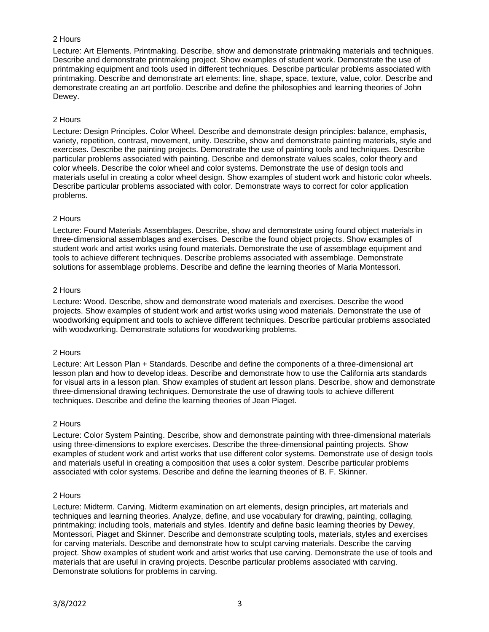# 2 Hours

Lecture: Art Elements. Printmaking. Describe, show and demonstrate printmaking materials and techniques. Describe and demonstrate printmaking project. Show examples of student work. Demonstrate the use of printmaking equipment and tools used in different techniques. Describe particular problems associated with printmaking. Describe and demonstrate art elements: line, shape, space, texture, value, color. Describe and demonstrate creating an art portfolio. Describe and define the philosophies and learning theories of John Dewey.

# 2 Hours

Lecture: Design Principles. Color Wheel. Describe and demonstrate design principles: balance, emphasis, variety, repetition, contrast, movement, unity. Describe, show and demonstrate painting materials, style and exercises. Describe the painting projects. Demonstrate the use of painting tools and techniques. Describe particular problems associated with painting. Describe and demonstrate values scales, color theory and color wheels. Describe the color wheel and color systems. Demonstrate the use of design tools and materials useful in creating a color wheel design. Show examples of student work and historic color wheels. Describe particular problems associated with color. Demonstrate ways to correct for color application problems.

# 2 Hours

Lecture: Found Materials Assemblages. Describe, show and demonstrate using found object materials in three-dimensional assemblages and exercises. Describe the found object projects. Show examples of student work and artist works using found materials. Demonstrate the use of assemblage equipment and tools to achieve different techniques. Describe problems associated with assemblage. Demonstrate solutions for assemblage problems. Describe and define the learning theories of Maria Montessori.

# 2 Hours

Lecture: Wood. Describe, show and demonstrate wood materials and exercises. Describe the wood projects. Show examples of student work and artist works using wood materials. Demonstrate the use of woodworking equipment and tools to achieve different techniques. Describe particular problems associated with woodworking. Demonstrate solutions for woodworking problems.

# 2 Hours

Lecture: Art Lesson Plan + Standards. Describe and define the components of a three-dimensional art lesson plan and how to develop ideas. Describe and demonstrate how to use the California arts standards for visual arts in a lesson plan. Show examples of student art lesson plans. Describe, show and demonstrate three-dimensional drawing techniques. Demonstrate the use of drawing tools to achieve different techniques. Describe and define the learning theories of Jean Piaget.

# 2 Hours

Lecture: Color System Painting. Describe, show and demonstrate painting with three-dimensional materials using three-dimensions to explore exercises. Describe the three-dimensional painting projects. Show examples of student work and artist works that use different color systems. Demonstrate use of design tools and materials useful in creating a composition that uses a color system. Describe particular problems associated with color systems. Describe and define the learning theories of B. F. Skinner.

# 2 Hours

Lecture: Midterm. Carving. Midterm examination on art elements, design principles, art materials and techniques and learning theories. Analyze, define, and use vocabulary for drawing, painting, collaging, printmaking; including tools, materials and styles. Identify and define basic learning theories by Dewey, Montessori, Piaget and Skinner. Describe and demonstrate sculpting tools, materials, styles and exercises for carving materials. Describe and demonstrate how to sculpt carving materials. Describe the carving project. Show examples of student work and artist works that use carving. Demonstrate the use of tools and materials that are useful in craving projects. Describe particular problems associated with carving. Demonstrate solutions for problems in carving.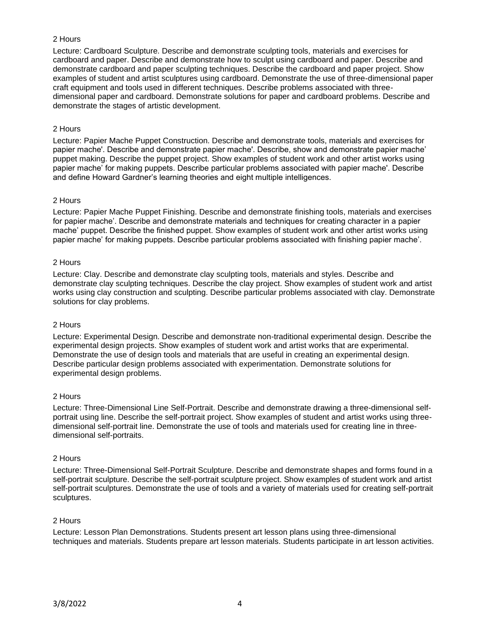# 2 Hours

Lecture: Cardboard Sculpture. Describe and demonstrate sculpting tools, materials and exercises for cardboard and paper. Describe and demonstrate how to sculpt using cardboard and paper. Describe and demonstrate cardboard and paper sculpting techniques. Describe the cardboard and paper project. Show examples of student and artist sculptures using cardboard. Demonstrate the use of three-dimensional paper craft equipment and tools used in different techniques. Describe problems associated with threedimensional paper and cardboard. Demonstrate solutions for paper and cardboard problems. Describe and demonstrate the stages of artistic development.

# 2 Hours

Lecture: Papier Mache Puppet Construction. Describe and demonstrate tools, materials and exercises for papier mache'. Describe and demonstrate papier mache'. Describe, show and demonstrate papier mache' puppet making. Describe the puppet project. Show examples of student work and other artist works using papier mache' for making puppets. Describe particular problems associated with papier mache'. Describe and define Howard Gardner's learning theories and eight multiple intelligences.

# 2 Hours

Lecture: Papier Mache Puppet Finishing. Describe and demonstrate finishing tools, materials and exercises for papier mache'. Describe and demonstrate materials and techniques for creating character in a papier mache' puppet. Describe the finished puppet. Show examples of student work and other artist works using papier mache' for making puppets. Describe particular problems associated with finishing papier mache'.

# 2 Hours

Lecture: Clay. Describe and demonstrate clay sculpting tools, materials and styles. Describe and demonstrate clay sculpting techniques. Describe the clay project. Show examples of student work and artist works using clay construction and sculpting. Describe particular problems associated with clay. Demonstrate solutions for clay problems.

# 2 Hours

Lecture: Experimental Design. Describe and demonstrate non-traditional experimental design. Describe the experimental design projects. Show examples of student work and artist works that are experimental. Demonstrate the use of design tools and materials that are useful in creating an experimental design. Describe particular design problems associated with experimentation. Demonstrate solutions for experimental design problems.

# 2 Hours

Lecture: Three-Dimensional Line Self-Portrait. Describe and demonstrate drawing a three-dimensional selfportrait using line. Describe the self-portrait project. Show examples of student and artist works using threedimensional self-portrait line. Demonstrate the use of tools and materials used for creating line in threedimensional self-portraits.

# 2 Hours

Lecture: Three-Dimensional Self-Portrait Sculpture. Describe and demonstrate shapes and forms found in a self-portrait sculpture. Describe the self-portrait sculpture project. Show examples of student work and artist self-portrait sculptures. Demonstrate the use of tools and a variety of materials used for creating self-portrait sculptures.

# 2 Hours

Lecture: Lesson Plan Demonstrations. Students present art lesson plans using three-dimensional techniques and materials. Students prepare art lesson materials. Students participate in art lesson activities.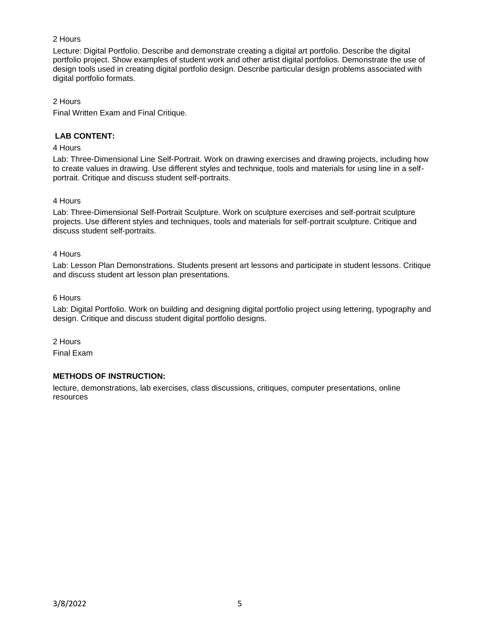# 2 Hours

Lecture: Digital Portfolio. Describe and demonstrate creating a digital art portfolio. Describe the digital portfolio project. Show examples of student work and other artist digital portfolios. Demonstrate the use of design tools used in creating digital portfolio design. Describe particular design problems associated with digital portfolio formats.

# 2 Hours

Final Written Exam and Final Critique.

# **LAB CONTENT:**

# 4 Hours

Lab: Three-Dimensional Line Self-Portrait. Work on drawing exercises and drawing projects, including how to create values in drawing. Use different styles and technique, tools and materials for using line in a selfportrait. Critique and discuss student self-portraits.

# 4 Hours

Lab: Three-Dimensional Self-Portrait Sculpture. Work on sculpture exercises and self-portrait sculpture projects. Use different styles and techniques, tools and materials for self-portrait sculpture. Critique and discuss student self-portraits.

# 4 Hours

Lab: Lesson Plan Demonstrations. Students present art lessons and participate in student lessons. Critique and discuss student art lesson plan presentations.

# 6 Hours

Lab: Digital Portfolio. Work on building and designing digital portfolio project using lettering, typography and design. Critique and discuss student digital portfolio designs.

2 Hours

Final Exam

# **METHODS OF INSTRUCTION:**

lecture, demonstrations, lab exercises, class discussions, critiques, computer presentations, online resources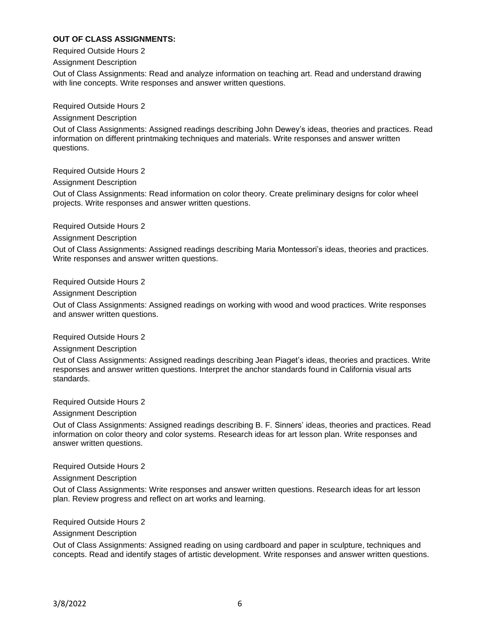# **OUT OF CLASS ASSIGNMENTS:**

Required Outside Hours 2

#### Assignment Description

Out of Class Assignments: Read and analyze information on teaching art. Read and understand drawing with line concepts. Write responses and answer written questions.

Required Outside Hours 2

#### Assignment Description

Out of Class Assignments: Assigned readings describing John Dewey's ideas, theories and practices. Read information on different printmaking techniques and materials. Write responses and answer written questions.

Required Outside Hours 2

Assignment Description

Out of Class Assignments: Read information on color theory. Create preliminary designs for color wheel projects. Write responses and answer written questions.

Required Outside Hours 2

# Assignment Description

Out of Class Assignments: Assigned readings describing Maria Montessori's ideas, theories and practices. Write responses and answer written questions.

Required Outside Hours 2

# Assignment Description

Out of Class Assignments: Assigned readings on working with wood and wood practices. Write responses and answer written questions.

# Required Outside Hours 2

Assignment Description

Out of Class Assignments: Assigned readings describing Jean Piaget's ideas, theories and practices. Write responses and answer written questions. Interpret the anchor standards found in California visual arts standards.

Required Outside Hours 2

Assignment Description

Out of Class Assignments: Assigned readings describing B. F. Sinners' ideas, theories and practices. Read information on color theory and color systems. Research ideas for art lesson plan. Write responses and answer written questions.

# Required Outside Hours 2

Assignment Description

Out of Class Assignments: Write responses and answer written questions. Research ideas for art lesson plan. Review progress and reflect on art works and learning.

# Required Outside Hours 2

# Assignment Description

Out of Class Assignments: Assigned reading on using cardboard and paper in sculpture, techniques and concepts. Read and identify stages of artistic development. Write responses and answer written questions.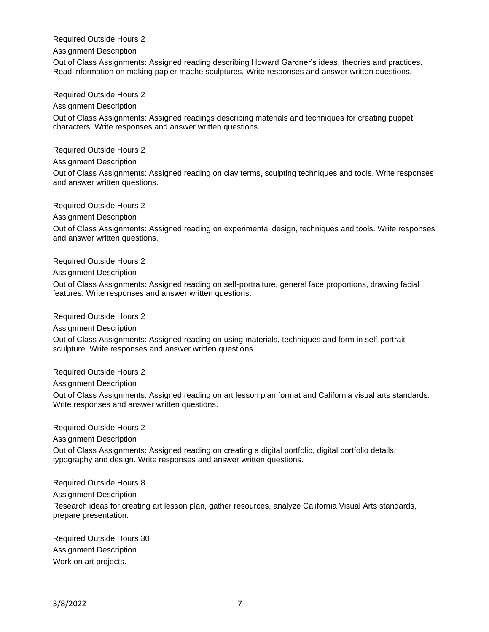Required Outside Hours 2

Assignment Description

Out of Class Assignments: Assigned reading describing Howard Gardner's ideas, theories and practices. Read information on making papier mache sculptures. Write responses and answer written questions.

Required Outside Hours 2

Assignment Description

Out of Class Assignments: Assigned readings describing materials and techniques for creating puppet characters. Write responses and answer written questions.

Required Outside Hours 2

Assignment Description

Out of Class Assignments: Assigned reading on clay terms, sculpting techniques and tools. Write responses and answer written questions.

Required Outside Hours 2

Assignment Description

Out of Class Assignments: Assigned reading on experimental design, techniques and tools. Write responses and answer written questions.

Required Outside Hours 2

Assignment Description

Out of Class Assignments: Assigned reading on self-portraiture, general face proportions, drawing facial features. Write responses and answer written questions.

Required Outside Hours 2

Assignment Description

Out of Class Assignments: Assigned reading on using materials, techniques and form in self-portrait sculpture. Write responses and answer written questions.

Required Outside Hours 2

Assignment Description

Out of Class Assignments: Assigned reading on art lesson plan format and California visual arts standards. Write responses and answer written questions.

Required Outside Hours 2

Assignment Description

Out of Class Assignments: Assigned reading on creating a digital portfolio, digital portfolio details, typography and design. Write responses and answer written questions.

Required Outside Hours 8

Assignment Description

Research ideas for creating art lesson plan, gather resources, analyze California Visual Arts standards, prepare presentation.

Required Outside Hours 30 Assignment Description Work on art projects.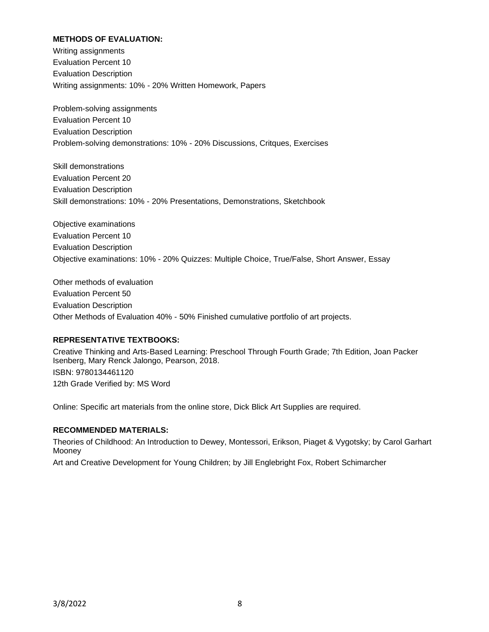# **METHODS OF EVALUATION:**

Writing assignments Evaluation Percent 10 Evaluation Description Writing assignments: 10% - 20% Written Homework, Papers

Problem-solving assignments Evaluation Percent 10 Evaluation Description Problem-solving demonstrations: 10% - 20% Discussions, Critques, Exercises

Skill demonstrations Evaluation Percent 20 Evaluation Description Skill demonstrations: 10% - 20% Presentations, Demonstrations, Sketchbook

Objective examinations Evaluation Percent 10 Evaluation Description Objective examinations: 10% - 20% Quizzes: Multiple Choice, True/False, Short Answer, Essay

Other methods of evaluation Evaluation Percent 50 Evaluation Description Other Methods of Evaluation 40% - 50% Finished cumulative portfolio of art projects.

# **REPRESENTATIVE TEXTBOOKS:**

Creative Thinking and Arts-Based Learning: Preschool Through Fourth Grade; 7th Edition, Joan Packer Isenberg, Mary Renck Jalongo, Pearson, 2018. ISBN: 9780134461120 12th Grade Verified by: MS Word

Online: Specific art materials from the online store, Dick Blick Art Supplies are required.

# **RECOMMENDED MATERIALS:**

Theories of Childhood: An Introduction to Dewey, Montessori, Erikson, Piaget & Vygotsky; by Carol Garhart Mooney

Art and Creative Development for Young Children; by Jill Englebright Fox, Robert Schimarcher